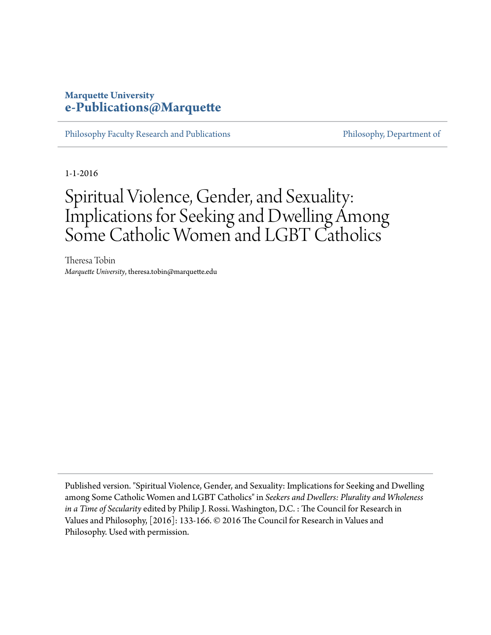# **Marquette University [e-Publications@Marquette](https://epublications.marquette.edu)**

[Philosophy Faculty Research and Publications](https://epublications.marquette.edu/phil_fac) **[Philosophy, Department of](https://epublications.marquette.edu/philosophy)** 

1-1-2016

# Spiritual Violence, Gender, and Sexuality: Implications for Seeking and Dwelling Among Some Catholic Women and LGBT Catholics

Theresa Tobin *Marquette University*, theresa.tobin@marquette.edu

Published version. "Spiritual Violence, Gender, and Sexuality: Implications for Seeking and Dwelling among Some Catholic Women and LGBT Catholics" in *Seekers and Dwellers: Plurality and Wholeness in a Time of Secularity* edited by Philip J. Rossi. Washington, D.C. : The Council for Research in Values and Philosophy, [2016]: 133-166. © 2016 The Council for Research in Values and Philosophy. Used with permission.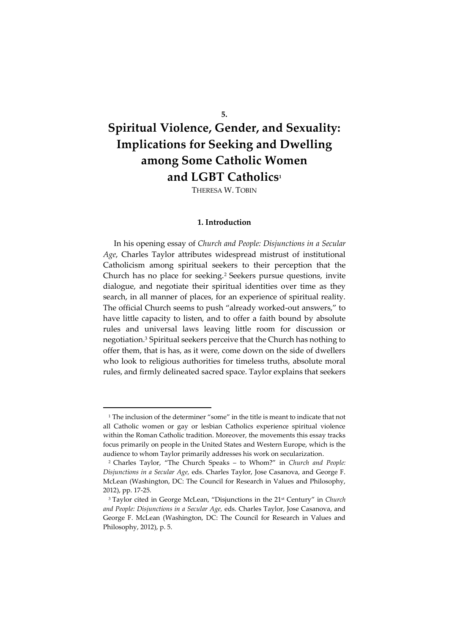#### **5.**

# **Spiritual Violence, Gender, and Sexuality: Implications for Seeking and Dwelling among Some Catholic Women and LGBT Catholics<sup>1</sup>**

THERESA W. TOBIN

#### **1. Introduction**

In his opening essay of *Church and People: Disjunctions in a Secular Age*, Charles Taylor attributes widespread mistrust of institutional Catholicism among spiritual seekers to their perception that the Church has no place for seeking.<sup>2</sup> Seekers pursue questions, invite dialogue, and negotiate their spiritual identities over time as they search, in all manner of places, for an experience of spiritual reality. The official Church seems to push "already worked-out answers," to have little capacity to listen, and to offer a faith bound by absolute rules and universal laws leaving little room for discussion or negotiation.<sup>3</sup> Spiritual seekers perceive that the Church has nothing to offer them, that is has, as it were, come down on the side of dwellers who look to religious authorities for timeless truths, absolute moral rules, and firmly delineated sacred space. Taylor explains that seekers

<sup>&</sup>lt;sup>1</sup> The inclusion of the determiner "some" in the title is meant to indicate that not all Catholic women or gay or lesbian Catholics experience spiritual violence within the Roman Catholic tradition. Moreover, the movements this essay tracks focus primarily on people in the United States and Western Europe, which is the audience to whom Taylor primarily addresses his work on secularization.

<sup>2</sup> Charles Taylor, "The Church Speaks – to Whom?" in *Church and People: Disjunctions in a Secular Age,* eds. Charles Taylor, Jose Casanova, and George F. McLean (Washington, DC: The Council for Research in Values and Philosophy, 2012), pp. 17-25.

<sup>3</sup> Taylor cited in George McLean, "Disjunctions in the 21st Century" in *Church and People: Disjunctions in a Secular Age,* eds. Charles Taylor, Jose Casanova, and George F. McLean (Washington, DC: The Council for Research in Values and Philosophy, 2012), p. 5.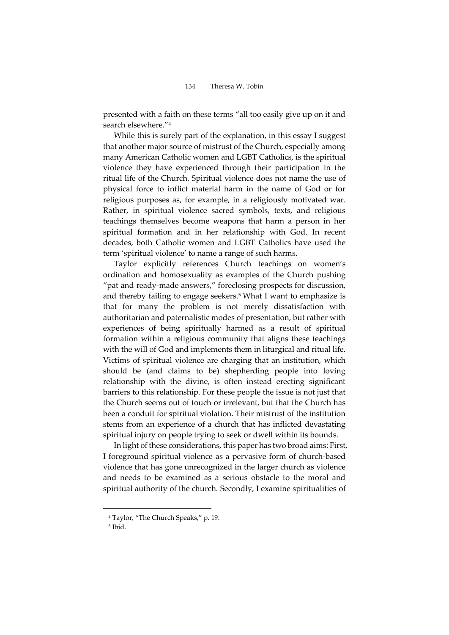presented with a faith on these terms "all too easily give up on it and search elsewhere."<sup>4</sup>

While this is surely part of the explanation, in this essay I suggest that another major source of mistrust of the Church, especially among many American Catholic women and LGBT Catholics, is the spiritual violence they have experienced through their participation in the ritual life of the Church. Spiritual violence does not name the use of physical force to inflict material harm in the name of God or for religious purposes as, for example, in a religiously motivated war. Rather, in spiritual violence sacred symbols, texts, and religious teachings themselves become weapons that harm a person in her spiritual formation and in her relationship with God. In recent decades, both Catholic women and LGBT Catholics have used the term 'spiritual violence' to name a range of such harms.

Taylor explicitly references Church teachings on women's ordination and homosexuality as examples of the Church pushing "pat and ready-made answers," foreclosing prospects for discussion, and thereby failing to engage seekers. <sup>5</sup> What I want to emphasize is that for many the problem is not merely dissatisfaction with authoritarian and paternalistic modes of presentation, but rather with experiences of being spiritually harmed as a result of spiritual formation within a religious community that aligns these teachings with the will of God and implements them in liturgical and ritual life. Victims of spiritual violence are charging that an institution, which should be (and claims to be) shepherding people into loving relationship with the divine, is often instead erecting significant barriers to this relationship. For these people the issue is not just that the Church seems out of touch or irrelevant, but that the Church has been a conduit for spiritual violation. Their mistrust of the institution stems from an experience of a church that has inflicted devastating spiritual injury on people trying to seek or dwell within its bounds.

In light of these considerations, this paper has two broad aims: First, I foreground spiritual violence as a pervasive form of church-based violence that has gone unrecognized in the larger church as violence and needs to be examined as a serious obstacle to the moral and spiritual authority of the church. Secondly, I examine spiritualities of

<sup>4</sup> Taylor, "The Church Speaks," p. 19.

<sup>5</sup> Ibid.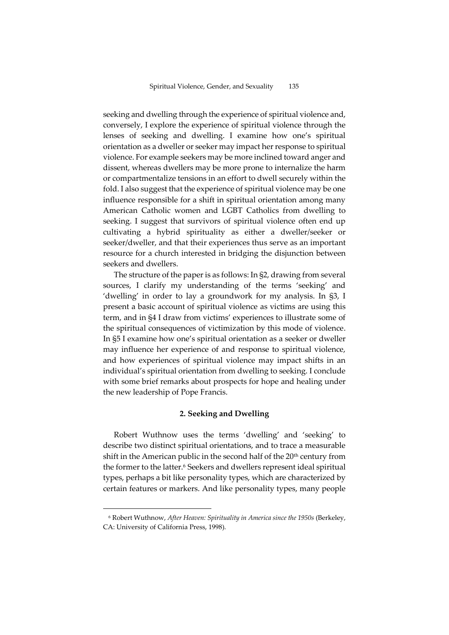seeking and dwelling through the experience of spiritual violence and, conversely, I explore the experience of spiritual violence through the lenses of seeking and dwelling. I examine how one's spiritual orientation as a dweller or seeker may impact her response to spiritual violence. For example seekers may be more inclined toward anger and dissent, whereas dwellers may be more prone to internalize the harm or compartmentalize tensions in an effort to dwell securely within the fold. I also suggest that the experience of spiritual violence may be one influence responsible for a shift in spiritual orientation among many American Catholic women and LGBT Catholics from dwelling to seeking. I suggest that survivors of spiritual violence often end up cultivating a hybrid spirituality as either a dweller/seeker or seeker/dweller, and that their experiences thus serve as an important resource for a church interested in bridging the disjunction between seekers and dwellers.

The structure of the paper is as follows: In §2, drawing from several sources, I clarify my understanding of the terms 'seeking' and 'dwelling' in order to lay a groundwork for my analysis. In §3, I present a basic account of spiritual violence as victims are using this term, and in §4 I draw from victims' experiences to illustrate some of the spiritual consequences of victimization by this mode of violence. In §5 I examine how one's spiritual orientation as a seeker or dweller may influence her experience of and response to spiritual violence, and how experiences of spiritual violence may impact shifts in an individual's spiritual orientation from dwelling to seeking. I conclude with some brief remarks about prospects for hope and healing under the new leadership of Pope Francis.

#### **2. Seeking and Dwelling**

Robert Wuthnow uses the terms 'dwelling' and 'seeking' to describe two distinct spiritual orientations, and to trace a measurable shift in the American public in the second half of the  $20<sup>th</sup>$  century from the former to the latter.<sup>6</sup> Seekers and dwellers represent ideal spiritual types, perhaps a bit like personality types, which are characterized by certain features or markers. And like personality types, many people

<sup>6</sup> Robert Wuthnow, *After Heaven: Spirituality in America since the 1950s* (Berkeley, CA: University of California Press, 1998).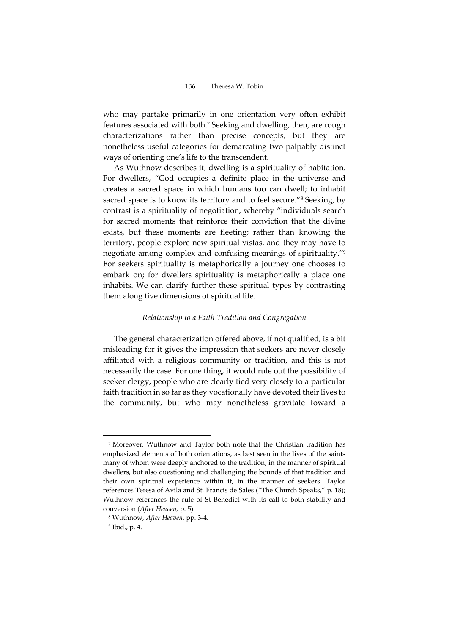who may partake primarily in one orientation very often exhibit features associated with both.<sup>7</sup> Seeking and dwelling, then, are rough characterizations rather than precise concepts, but they are nonetheless useful categories for demarcating two palpably distinct ways of orienting one's life to the transcendent.

As Wuthnow describes it, dwelling is a spirituality of habitation. For dwellers, "God occupies a definite place in the universe and creates a sacred space in which humans too can dwell; to inhabit sacred space is to know its territory and to feel secure."<sup>8</sup> Seeking, by contrast is a spirituality of negotiation, whereby "individuals search for sacred moments that reinforce their conviction that the divine exists, but these moments are fleeting; rather than knowing the territory, people explore new spiritual vistas, and they may have to negotiate among complex and confusing meanings of spirituality."<sup>9</sup> For seekers spirituality is metaphorically a journey one chooses to embark on; for dwellers spirituality is metaphorically a place one inhabits. We can clarify further these spiritual types by contrasting them along five dimensions of spiritual life.

#### *Relationship to a Faith Tradition and Congregation*

The general characterization offered above, if not qualified, is a bit misleading for it gives the impression that seekers are never closely affiliated with a religious community or tradition, and this is not necessarily the case. For one thing, it would rule out the possibility of seeker clergy, people who are clearly tied very closely to a particular faith tradition in so far as they vocationally have devoted their lives to the community, but who may nonetheless gravitate toward a

<sup>7</sup> Moreover, Wuthnow and Taylor both note that the Christian tradition has emphasized elements of both orientations, as best seen in the lives of the saints many of whom were deeply anchored to the tradition, in the manner of spiritual dwellers, but also questioning and challenging the bounds of that tradition and their own spiritual experience within it, in the manner of seekers. Taylor references Teresa of Avila and St. Francis de Sales ("The Church Speaks," p. 18); Wuthnow references the rule of St Benedict with its call to both stability and conversion (*After Heaven,* p. 5).

<sup>8</sup> Wuthnow, *After Heaven*, pp. 3-4.

<sup>9</sup> Ibid., p. 4.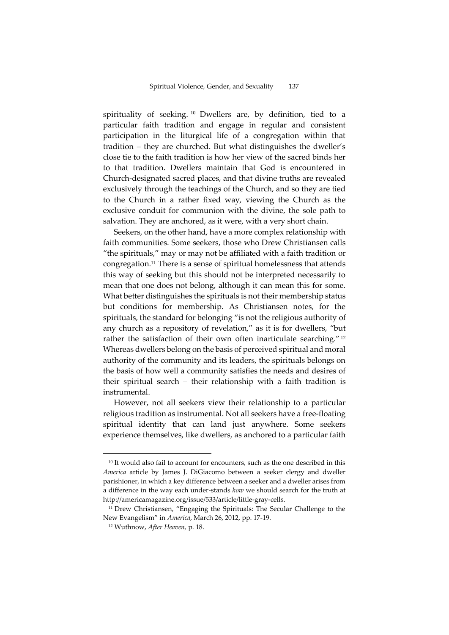spirituality of seeking. <sup>10</sup> Dwellers are, by definition, tied to a particular faith tradition and engage in regular and consistent participation in the liturgical life of a congregation within that tradition – they are churched. But what distinguishes the dweller's close tie to the faith tradition is how her view of the sacred binds her to that tradition. Dwellers maintain that God is encountered in Church-designated sacred places, and that divine truths are revealed exclusively through the teachings of the Church, and so they are tied to the Church in a rather fixed way, viewing the Church as the exclusive conduit for communion with the divine, the sole path to salvation. They are anchored, as it were, with a very short chain.

Seekers, on the other hand, have a more complex relationship with faith communities. Some seekers, those who Drew Christiansen calls "the spirituals," may or may not be affiliated with a faith tradition or congregation.<sup>11</sup> There is a sense of spiritual homelessness that attends this way of seeking but this should not be interpreted necessarily to mean that one does not belong, although it can mean this for some. What better distinguishes the spirituals is not their membership status but conditions for membership. As Christiansen notes, for the spirituals, the standard for belonging "is not the religious authority of any church as a repository of revelation," as it is for dwellers, "but rather the satisfaction of their own often inarticulate searching."<sup>12</sup> Whereas dwellers belong on the basis of perceived spiritual and moral authority of the community and its leaders, the spirituals belongs on the basis of how well a community satisfies the needs and desires of their spiritual search – their relationship with a faith tradition is instrumental.

However, not all seekers view their relationship to a particular religious tradition as instrumental. Not all seekers have a free-floating spiritual identity that can land just anywhere. Some seekers experience themselves, like dwellers, as anchored to a particular faith

<sup>&</sup>lt;sup>10</sup> It would also fail to account for encounters, such as the one described in this *America* article by James J. DiGiacomo between a seeker clergy and dweller parishioner, in which a key difference between a seeker and a dweller arises from a difference in the way each under-stands *how* we should search for the truth at http://americamagazine.org/issue/533/article/little-gray-cells.

<sup>&</sup>lt;sup>11</sup> Drew Christiansen, "Engaging the Spirituals: The Secular Challenge to the New Evangelism" in *America*, March 26, 2012, pp. 17-19.

<sup>12</sup> Wuthnow, *After Heaven,* p. 18.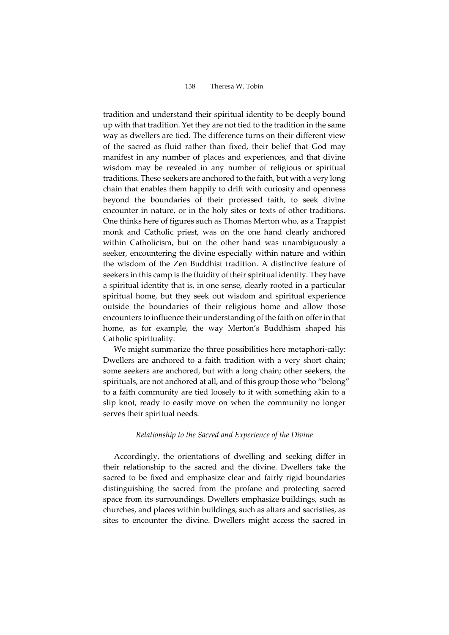tradition and understand their spiritual identity to be deeply bound up with that tradition. Yet they are not tied to the tradition in the same way as dwellers are tied. The difference turns on their different view of the sacred as fluid rather than fixed, their belief that God may manifest in any number of places and experiences, and that divine wisdom may be revealed in any number of religious or spiritual traditions. These seekers are anchored to the faith, but with a very long chain that enables them happily to drift with curiosity and openness beyond the boundaries of their professed faith, to seek divine encounter in nature, or in the holy sites or texts of other traditions. One thinks here of figures such as Thomas Merton who, as a Trappist monk and Catholic priest, was on the one hand clearly anchored within Catholicism, but on the other hand was unambiguously a seeker, encountering the divine especially within nature and within the wisdom of the Zen Buddhist tradition. A distinctive feature of seekers in this camp is the fluidity of their spiritual identity. They have a spiritual identity that is, in one sense, clearly rooted in a particular spiritual home, but they seek out wisdom and spiritual experience outside the boundaries of their religious home and allow those encounters to influence their understanding of the faith on offer in that home, as for example, the way Merton's Buddhism shaped his Catholic spirituality.

We might summarize the three possibilities here metaphori-cally: Dwellers are anchored to a faith tradition with a very short chain; some seekers are anchored, but with a long chain; other seekers, the spirituals, are not anchored at all, and of this group those who "belong" to a faith community are tied loosely to it with something akin to a slip knot, ready to easily move on when the community no longer serves their spiritual needs.

#### *Relationship to the Sacred and Experience of the Divine*

Accordingly, the orientations of dwelling and seeking differ in their relationship to the sacred and the divine. Dwellers take the sacred to be fixed and emphasize clear and fairly rigid boundaries distinguishing the sacred from the profane and protecting sacred space from its surroundings. Dwellers emphasize buildings, such as churches, and places within buildings, such as altars and sacristies, as sites to encounter the divine. Dwellers might access the sacred in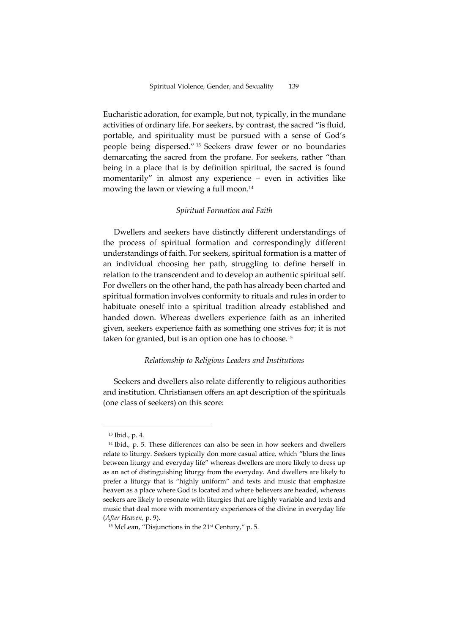Eucharistic adoration, for example, but not, typically, in the mundane activities of ordinary life. For seekers, by contrast, the sacred "is fluid, portable, and spirituality must be pursued with a sense of God's people being dispersed." <sup>13</sup> Seekers draw fewer or no boundaries demarcating the sacred from the profane. For seekers, rather "than being in a place that is by definition spiritual, the sacred is found momentarily" in almost any experience – even in activities like mowing the lawn or viewing a full moon.<sup>14</sup>

#### *Spiritual Formation and Faith*

Dwellers and seekers have distinctly different understandings of the process of spiritual formation and correspondingly different understandings of faith. For seekers, spiritual formation is a matter of an individual choosing her path, struggling to define herself in relation to the transcendent and to develop an authentic spiritual self. For dwellers on the other hand, the path has already been charted and spiritual formation involves conformity to rituals and rules in order to habituate oneself into a spiritual tradition already established and handed down. Whereas dwellers experience faith as an inherited given, seekers experience faith as something one strives for; it is not taken for granted, but is an option one has to choose.<sup>15</sup>

#### *Relationship to Religious Leaders and Institutions*

Seekers and dwellers also relate differently to religious authorities and institution. Christiansen offers an apt description of the spirituals (one class of seekers) on this score:

<sup>13</sup> Ibid., p. 4.

<sup>14</sup> Ibid., p. 5. These differences can also be seen in how seekers and dwellers relate to liturgy. Seekers typically don more casual attire, which "blurs the lines between liturgy and everyday life" whereas dwellers are more likely to dress up as an act of distinguishing liturgy from the everyday. And dwellers are likely to prefer a liturgy that is "highly uniform" and texts and music that emphasize heaven as a place where God is located and where believers are headed, whereas seekers are likely to resonate with liturgies that are highly variable and texts and music that deal more with momentary experiences of the divine in everyday life (*After Heaven,* p. 9).

<sup>15</sup> McLean, "Disjunctions in the 21st Century,*"* p. 5.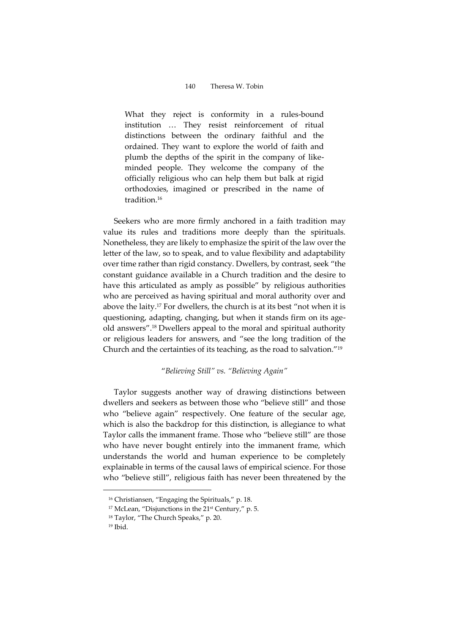What they reject is conformity in a rules-bound institution … They resist reinforcement of ritual distinctions between the ordinary faithful and the ordained. They want to explore the world of faith and plumb the depths of the spirit in the company of likeminded people. They welcome the company of the officially religious who can help them but balk at rigid orthodoxies, imagined or prescribed in the name of tradition. 16

Seekers who are more firmly anchored in a faith tradition may value its rules and traditions more deeply than the spirituals. Nonetheless, they are likely to emphasize the spirit of the law over the letter of the law, so to speak, and to value flexibility and adaptability over time rather than rigid constancy. Dwellers, by contrast, seek "the constant guidance available in a Church tradition and the desire to have this articulated as amply as possible" by religious authorities who are perceived as having spiritual and moral authority over and above the laity.<sup>17</sup> For dwellers, the church is at its best "not when it is questioning, adapting, changing, but when it stands firm on its ageold answers".<sup>18</sup> Dwellers appeal to the moral and spiritual authority or religious leaders for answers, and "see the long tradition of the Church and the certainties of its teaching, as the road to salvation."<sup>19</sup>

#### "*Believing Still" vs. "Believing Again"*

Taylor suggests another way of drawing distinctions between dwellers and seekers as between those who "believe still" and those who "believe again" respectively. One feature of the secular age, which is also the backdrop for this distinction, is allegiance to what Taylor calls the immanent frame. Those who "believe still" are those who have never bought entirely into the immanent frame, which understands the world and human experience to be completely explainable in terms of the causal laws of empirical science. For those who "believe still", religious faith has never been threatened by the

<sup>&</sup>lt;sup>16</sup> Christiansen, "Engaging the Spirituals," p. 18.

<sup>&</sup>lt;sup>17</sup> McLean, "Disjunctions in the 21<sup>st</sup> Century," p. 5.

<sup>18</sup> Taylor, "The Church Speaks," p. 20.

<sup>19</sup> Ibid.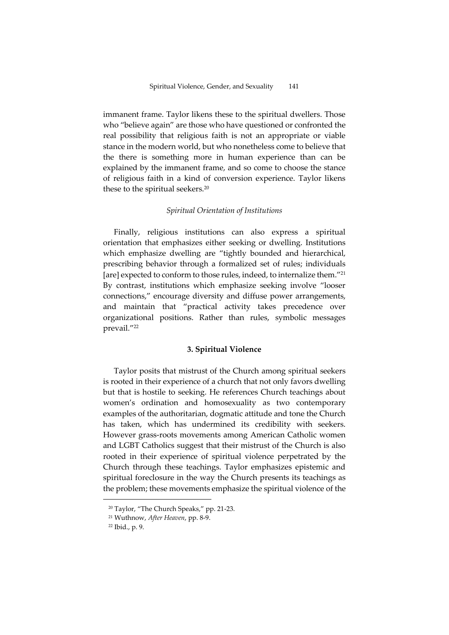immanent frame. Taylor likens these to the spiritual dwellers. Those who "believe again" are those who have questioned or confronted the real possibility that religious faith is not an appropriate or viable stance in the modern world, but who nonetheless come to believe that the there is something more in human experience than can be explained by the immanent frame, and so come to choose the stance of religious faith in a kind of conversion experience. Taylor likens these to the spiritual seekers.<sup>20</sup>

#### *Spiritual Orientation of Institutions*

Finally, religious institutions can also express a spiritual orientation that emphasizes either seeking or dwelling. Institutions which emphasize dwelling are "tightly bounded and hierarchical, prescribing behavior through a formalized set of rules; individuals [are] expected to conform to those rules, indeed, to internalize them."<sup>21</sup> By contrast, institutions which emphasize seeking involve "looser connections," encourage diversity and diffuse power arrangements, and maintain that "practical activity takes precedence over organizational positions. Rather than rules, symbolic messages prevail."<sup>22</sup>

## **3. Spiritual Violence**

Taylor posits that mistrust of the Church among spiritual seekers is rooted in their experience of a church that not only favors dwelling but that is hostile to seeking. He references Church teachings about women's ordination and homosexuality as two contemporary examples of the authoritarian, dogmatic attitude and tone the Church has taken, which has undermined its credibility with seekers. However grass-roots movements among American Catholic women and LGBT Catholics suggest that their mistrust of the Church is also rooted in their experience of spiritual violence perpetrated by the Church through these teachings. Taylor emphasizes epistemic and spiritual foreclosure in the way the Church presents its teachings as the problem; these movements emphasize the spiritual violence of the

<sup>20</sup> Taylor, "The Church Speaks," pp. 21-23.

<sup>21</sup> Wuthnow, *After Heaven*, pp. 8-9.

<sup>22</sup> Ibid., p. 9.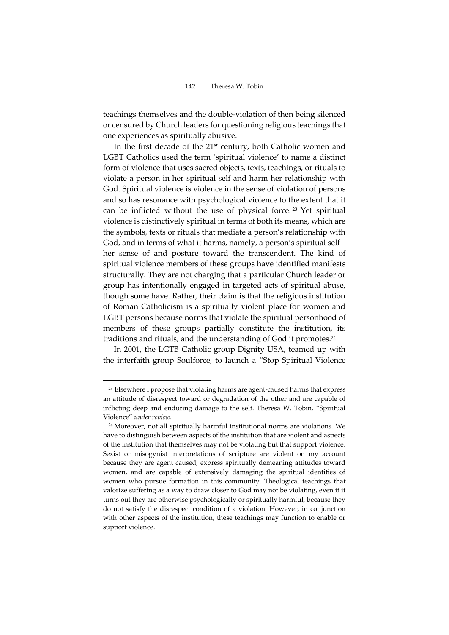teachings themselves and the double-violation of then being silenced or censured by Church leaders for questioning religious teachings that one experiences as spiritually abusive.

In the first decade of the 21<sup>st</sup> century, both Catholic women and LGBT Catholics used the term 'spiritual violence' to name a distinct form of violence that uses sacred objects, texts, teachings, or rituals to violate a person in her spiritual self and harm her relationship with God. Spiritual violence is violence in the sense of violation of persons and so has resonance with psychological violence to the extent that it can be inflicted without the use of physical force.<sup>23</sup> Yet spiritual violence is distinctively spiritual in terms of both its means, which are the symbols, texts or rituals that mediate a person's relationship with God, and in terms of what it harms, namely, a person's spiritual self – her sense of and posture toward the transcendent. The kind of spiritual violence members of these groups have identified manifests structurally. They are not charging that a particular Church leader or group has intentionally engaged in targeted acts of spiritual abuse, though some have. Rather, their claim is that the religious institution of Roman Catholicism is a spiritually violent place for women and LGBT persons because norms that violate the spiritual personhood of members of these groups partially constitute the institution, its traditions and rituals, and the understanding of God it promotes.<sup>24</sup>

In 2001, the LGTB Catholic group Dignity USA, teamed up with the interfaith group Soulforce, to launch a "Stop Spiritual Violence

<sup>23</sup> Elsewhere I propose that violating harms are agent-caused harms that express an attitude of disrespect toward or degradation of the other and are capable of inflicting deep and enduring damage to the self. Theresa W. Tobin, "Spiritual Violence" *under review.*

<sup>24</sup> Moreover, not all spiritually harmful institutional norms are violations. We have to distinguish between aspects of the institution that are violent and aspects of the institution that themselves may not be violating but that support violence. Sexist or misogynist interpretations of scripture are violent on my account because they are agent caused, express spiritually demeaning attitudes toward women, and are capable of extensively damaging the spiritual identities of women who pursue formation in this community. Theological teachings that valorize suffering as a way to draw closer to God may not be violating, even if it turns out they are otherwise psychologically or spiritually harmful, because they do not satisfy the disrespect condition of a violation. However, in conjunction with other aspects of the institution, these teachings may function to enable or support violence.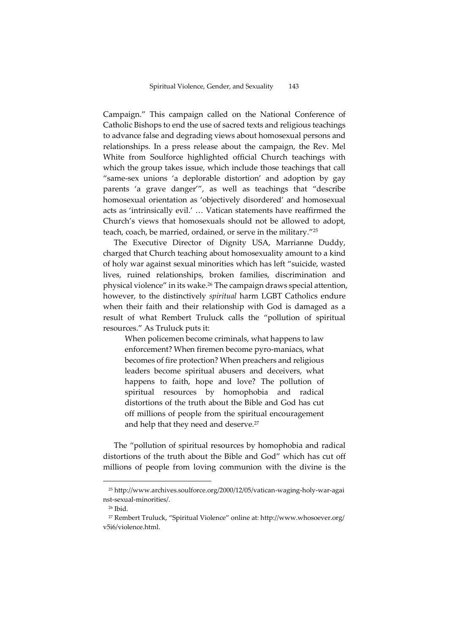Campaign." This campaign called on the National Conference of Catholic Bishops to end the use of sacred texts and religious teachings to advance false and degrading views about homosexual persons and relationships. In a press release about the campaign, the Rev. Mel White from Soulforce highlighted official Church teachings with which the group takes issue, which include those teachings that call "same-sex unions 'a deplorable distortion' and adoption by gay parents 'a grave danger'", as well as teachings that "describe homosexual orientation as 'objectively disordered' and homosexual acts as 'intrinsically evil.' … Vatican statements have reaffirmed the Church's views that homosexuals should not be allowed to adopt, teach, coach, be married, ordained, or serve in the military."<sup>25</sup>

The Executive Director of Dignity USA, Marrianne Duddy, charged that Church teaching about homosexuality amount to a kind of holy war against sexual minorities which has left "suicide, wasted lives, ruined relationships, broken families, discrimination and physical violence" in its wake.<sup>26</sup> The campaign draws special attention, however, to the distinctively *spiritual* harm LGBT Catholics endure when their faith and their relationship with God is damaged as a result of what Rembert Truluck calls the "pollution of spiritual resources." As Truluck puts it:

When policemen become criminals, what happens to law enforcement? When firemen become pyro-maniacs, what becomes of fire protection? When preachers and religious leaders become spiritual abusers and deceivers, what happens to faith, hope and love? The pollution of spiritual resources by homophobia and radical distortions of the truth about the Bible and God has cut off millions of people from the spiritual encouragement and help that they need and deserve.<sup>27</sup>

The "pollution of spiritual resources by homophobia and radical distortions of the truth about the Bible and God" which has cut off millions of people from loving communion with the divine is the

<sup>25</sup> http://www.archives.soulforce.org/2000/12/05/vatican-waging-holy-war-agai nst-sexual-minorities/.

<sup>26</sup> Ibid.

<sup>27</sup> Rembert Truluck, "Spiritual Violence" online at: http://www.whosoever.org/ v5i6/violence.html.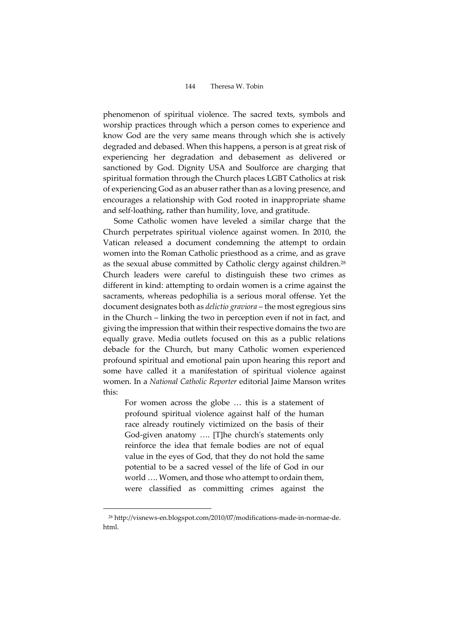phenomenon of spiritual violence. The sacred texts, symbols and worship practices through which a person comes to experience and know God are the very same means through which she is actively degraded and debased. When this happens, a person is at great risk of experiencing her degradation and debasement as delivered or sanctioned by God. Dignity USA and Soulforce are charging that spiritual formation through the Church places LGBT Catholics at risk of experiencing God as an abuser rather than as a loving presence, and encourages a relationship with God rooted in inappropriate shame and self-loathing, rather than humility, love, and gratitude.

Some Catholic women have leveled a similar charge that the Church perpetrates spiritual violence against women. In 2010, the Vatican released a document condemning the attempt to ordain women into the Roman Catholic priesthood as a crime, and as grave as the sexual abuse committed by Catholic clergy against children.<sup>28</sup> Church leaders were careful to distinguish these two crimes as different in kind: attempting to ordain women is a crime against the sacraments, whereas pedophilia is a serious moral offense. Yet the document designates both as *delictio graviora* – the most egregious sins in the Church – linking the two in perception even if not in fact, and giving the impression that within their respective domains the two are equally grave. Media outlets focused on this as a public relations debacle for the Church, but many Catholic women experienced profound spiritual and emotional pain upon hearing this report and some have called it a manifestation of spiritual violence against women. In a *National Catholic Reporter* editorial Jaime Manson writes this:

For women across the globe … this is a statement of profound spiritual violence against half of the human race already routinely victimized on the basis of their God-given anatomy …. [T]he church's statements only reinforce the idea that female bodies are not of equal value in the eyes of God, that they do not hold the same potential to be a sacred vessel of the life of God in our world …. Women, and those who attempt to ordain them, were classified as committing crimes against the

<sup>28</sup> http://visnews-en.blogspot.com/2010/07/modifications-made-in-normae-de. html.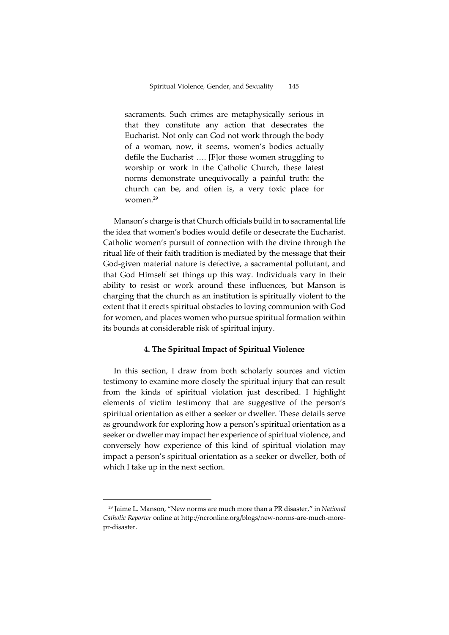sacraments. Such crimes are metaphysically serious in that they constitute any action that desecrates the Eucharist. Not only can God not work through the body of a woman, now, it seems, women's bodies actually defile the Eucharist …. [F]or those women struggling to worship or work in the Catholic Church, these latest norms demonstrate unequivocally a painful truth: the church can be, and often is, a very toxic place for women.<sup>29</sup>

Manson's charge is that Church officials build in to sacramental life the idea that women's bodies would defile or desecrate the Eucharist. Catholic women's pursuit of connection with the divine through the ritual life of their faith tradition is mediated by the message that their God-given material nature is defective, a sacramental pollutant, and that God Himself set things up this way. Individuals vary in their ability to resist or work around these influences, but Manson is charging that the church as an institution is spiritually violent to the extent that it erects spiritual obstacles to loving communion with God for women, and places women who pursue spiritual formation within its bounds at considerable risk of spiritual injury.

#### **4. The Spiritual Impact of Spiritual Violence**

In this section, I draw from both scholarly sources and victim testimony to examine more closely the spiritual injury that can result from the kinds of spiritual violation just described. I highlight elements of victim testimony that are suggestive of the person's spiritual orientation as either a seeker or dweller. These details serve as groundwork for exploring how a person's spiritual orientation as a seeker or dweller may impact her experience of spiritual violence, and conversely how experience of this kind of spiritual violation may impact a person's spiritual orientation as a seeker or dweller, both of which I take up in the next section.

<sup>29</sup> Jaime L. Manson, "New norms are much more than a PR disaster," in *National Catholic Reporter* online a[t http://ncronline.org/blogs/new-norms-are-much-more](http://ncronline.org/blogs/new-norms-are-much-more-pr-disaster)[pr-disaster.](http://ncronline.org/blogs/new-norms-are-much-more-pr-disaster)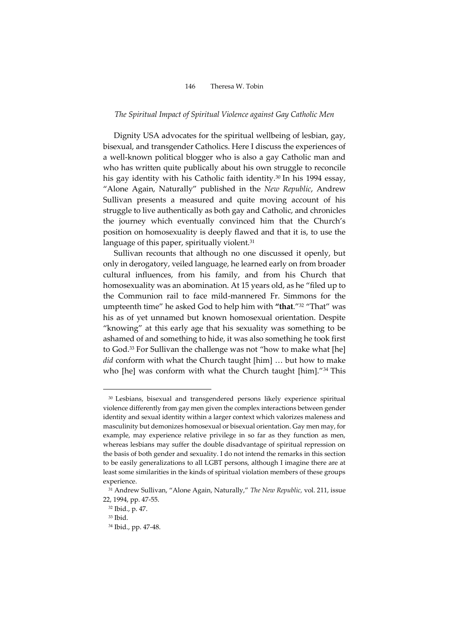#### *The Spiritual Impact of Spiritual Violence against Gay Catholic Men*

Dignity USA advocates for the spiritual wellbeing of lesbian, gay, bisexual, and transgender Catholics. Here I discuss the experiences of a well-known political blogger who is also a gay Catholic man and who has written quite publically about his own struggle to reconcile his gay identity with his Catholic faith identity.<sup>30</sup> In his 1994 essay, "Alone Again, Naturally" published in the *New Republic*, Andrew Sullivan presents a measured and quite moving account of his struggle to live authentically as both gay and Catholic, and chronicles the journey which eventually convinced him that the Church's position on homosexuality is deeply flawed and that it is, to use the language of this paper, spiritually violent.<sup>31</sup>

Sullivan recounts that although no one discussed it openly, but only in derogatory, veiled language, he learned early on from broader cultural influences, from his family, and from his Church that homosexuality was an abomination. At 15 years old, as he "filed up to the Communion rail to face mild-mannered Fr. Simmons for the umpteenth time" he asked God to help him with **"that**."<sup>32</sup> "That" was his as of yet unnamed but known homosexual orientation. Despite "knowing" at this early age that his sexuality was something to be ashamed of and something to hide, it was also something he took first to God.<sup>33</sup> For Sullivan the challenge was not "how to make what [he] *did* conform with what the Church taught [him] … but how to make who [he] was conform with what the Church taught [him]."<sup>34</sup> This

<sup>&</sup>lt;sup>30</sup> Lesbians, bisexual and transgendered persons likely experience spiritual violence differently from gay men given the complex interactions between gender identity and sexual identity within a larger context which valorizes maleness and masculinity but demonizes homosexual or bisexual orientation. Gay men may, for example, may experience relative privilege in so far as they function as men, whereas lesbians may suffer the double disadvantage of spiritual repression on the basis of both gender and sexuality. I do not intend the remarks in this section to be easily generalizations to all LGBT persons, although I imagine there are at least some similarities in the kinds of spiritual violation members of these groups experience.

<sup>31</sup> Andrew Sullivan, "Alone Again, Naturally," *The New Republic,* vol. 211, issue 22, 1994, pp. 47-55.

<sup>32</sup> Ibid., p. 47.

<sup>33</sup> Ibid.

<sup>34</sup> Ibid., pp. 47-48.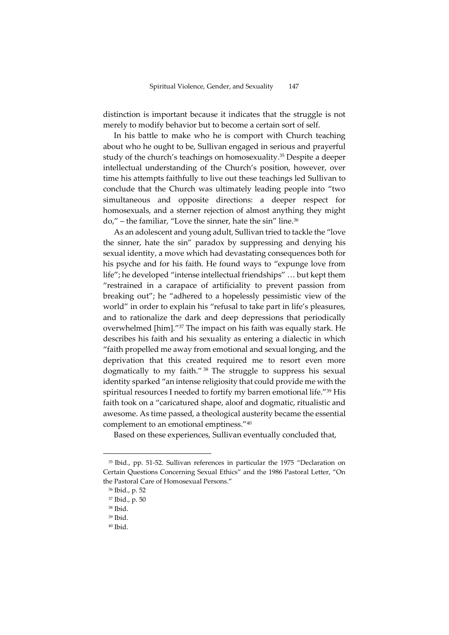distinction is important because it indicates that the struggle is not merely to modify behavior but to become a certain sort of self.

In his battle to make who he is comport with Church teaching about who he ought to be, Sullivan engaged in serious and prayerful study of the church's teachings on homosexuality. <sup>35</sup> Despite a deeper intellectual understanding of the Church's position, however, over time his attempts faithfully to live out these teachings led Sullivan to conclude that the Church was ultimately leading people into "two simultaneous and opposite directions: a deeper respect for homosexuals, and a sterner rejection of almost anything they might do," – the familiar, "Love the sinner, hate the sin" line.<sup>36</sup>

As an adolescent and young adult, Sullivan tried to tackle the "love the sinner, hate the sin" paradox by suppressing and denying his sexual identity, a move which had devastating consequences both for his psyche and for his faith. He found ways to "expunge love from life"; he developed "intense intellectual friendships" … but kept them "restrained in a carapace of artificiality to prevent passion from breaking out"; he "adhered to a hopelessly pessimistic view of the world" in order to explain his "refusal to take part in life's pleasures, and to rationalize the dark and deep depressions that periodically overwhelmed [him]." <sup>37</sup> The impact on his faith was equally stark. He describes his faith and his sexuality as entering a dialectic in which "faith propelled me away from emotional and sexual longing, and the deprivation that this created required me to resort even more dogmatically to my faith." <sup>38</sup> The struggle to suppress his sexual identity sparked "an intense religiosity that could provide me with the spiritual resources I needed to fortify my barren emotional life."<sup>39</sup> His faith took on a "caricatured shape, aloof and dogmatic, ritualistic and awesome. As time passed, a theological austerity became the essential complement to an emotional emptiness."<sup>40</sup>

Based on these experiences, Sullivan eventually concluded that,

<sup>35</sup> Ibid., pp. 51-52. Sullivan references in particular the 1975 "Declaration on Certain Questions Concerning Sexual Ethics" and the 1986 Pastoral Letter, "On the Pastoral Care of Homosexual Persons."

<sup>36</sup> Ibid., p. 52

<sup>37</sup> Ibid., p. 50

<sup>38</sup> Ibid.

<sup>39</sup> Ibid.

<sup>40</sup> Ibid.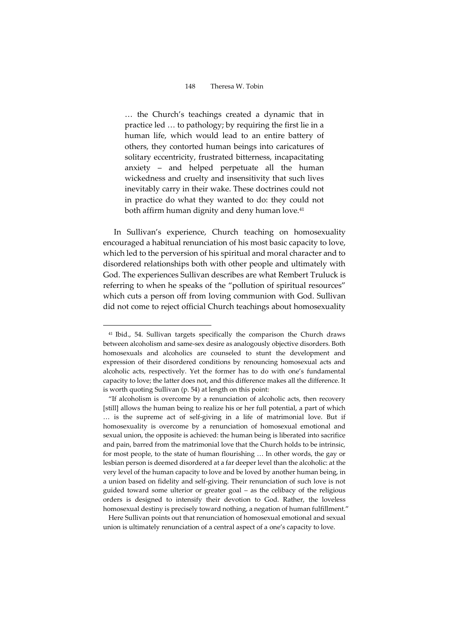… the Church's teachings created a dynamic that in practice led … to pathology; by requiring the first lie in a human life, which would lead to an entire battery of others, they contorted human beings into caricatures of solitary eccentricity, frustrated bitterness, incapacitating anxiety – and helped perpetuate all the human wickedness and cruelty and insensitivity that such lives inevitably carry in their wake. These doctrines could not in practice do what they wanted to do: they could not both affirm human dignity and deny human love.<sup>41</sup>

In Sullivan's experience, Church teaching on homosexuality encouraged a habitual renunciation of his most basic capacity to love, which led to the perversion of his spiritual and moral character and to disordered relationships both with other people and ultimately with God. The experiences Sullivan describes are what Rembert Truluck is referring to when he speaks of the "pollution of spiritual resources" which cuts a person off from loving communion with God. Sullivan did not come to reject official Church teachings about homosexuality

 $\overline{a}$ 

Here Sullivan points out that renunciation of homosexual emotional and sexual union is ultimately renunciation of a central aspect of a one's capacity to love.

<sup>41</sup> Ibid., 54. Sullivan targets specifically the comparison the Church draws between alcoholism and same-sex desire as analogously objective disorders. Both homosexuals and alcoholics are counseled to stunt the development and expression of their disordered conditions by renouncing homosexual acts and alcoholic acts, respectively. Yet the former has to do with one's fundamental capacity to love; the latter does not, and this difference makes all the difference. It is worth quoting Sullivan (p. 54) at length on this point:

<sup>&</sup>quot;If alcoholism is overcome by a renunciation of alcoholic acts, then recovery [still] allows the human being to realize his or her full potential, a part of which … is the supreme act of self-giving in a life of matrimonial love. But if homosexuality is overcome by a renunciation of homosexual emotional and sexual union, the opposite is achieved: the human being is liberated into sacrifice and pain, barred from the matrimonial love that the Church holds to be intrinsic, for most people, to the state of human flourishing … In other words, the gay or lesbian person is deemed disordered at a far deeper level than the alcoholic: at the very level of the human capacity to love and be loved by another human being, in a union based on fidelity and self-giving. Their renunciation of such love is not guided toward some ulterior or greater goal – as the celibacy of the religious orders is designed to intensify their devotion to God. Rather, the loveless homosexual destiny is precisely toward nothing, a negation of human fulfillment."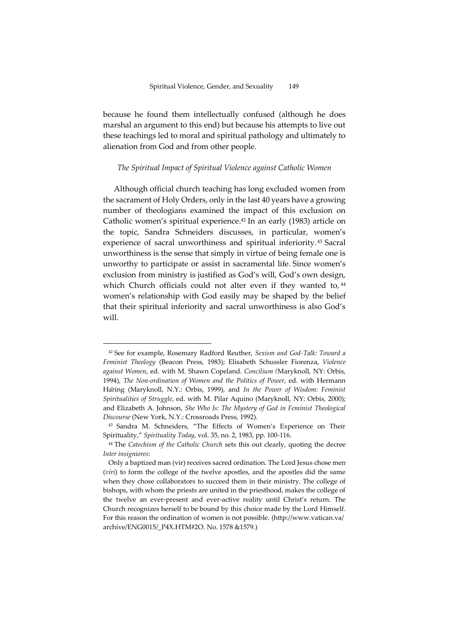because he found them intellectually confused (although he does marshal an argument to this end) but because his attempts to live out these teachings led to moral and spiritual pathology and ultimately to alienation from God and from other people.

#### *The Spiritual Impact of Spiritual Violence against Catholic Women*

Although official church teaching has long excluded women from the sacrament of Holy Orders, only in the last 40 years have a growing number of theologians examined the impact of this exclusion on Catholic women's spiritual experience.<sup>42</sup> In an early (1983) article on the topic, Sandra Schneiders discusses, in particular, women's experience of sacral unworthiness and spiritual inferiority. <sup>43</sup> Sacral unworthiness is the sense that simply in virtue of being female one is unworthy to participate or assist in sacramental life. Since women's exclusion from ministry is justified as God's will, God's own design, which Church officials could not alter even if they wanted to, <sup>44</sup> women's relationship with God easily may be shaped by the belief that their spiritual inferiority and sacral unworthiness is also God's will.

<sup>42</sup> See for example, Rosemary Radford Reuther, *Sexism and God-Talk: Toward a Feminist Theology* (Beacon Press, 1983); Elisabeth Schussler Fiorenza, *Violence against Women*, ed. with M. Shawn Copeland. *Concilium (*Maryknoll, NY: Orbis, 1994), *The Non-ordination of Women and the Politics of Power*, ed. with Hermann Häring (Maryknoll, N.Y.: Orbis, 1999), and *In the Power of Wisdom: Feminist Spiritualities of Struggle*, ed. with M. Pilar Aquino (Maryknoll, NY: Orbis, 2000); and Elizabeth A. Johnson, *She Who Is: The Mystery of God in Feminist Theological Discourse* (New York, N.Y.: Crossroads Press, 1992).

<sup>43</sup> Sandra M. Schneiders, "The Effects of Women's Experience on Their Spirituality," *Spirituality Today*, vol. 35, no. 2, 1983, pp. 100-116.

<sup>44</sup> The *Catechism of the Catholic Church* sets this out clearly, quoting the decree *Inter insigniores*:

Only a baptized man (vir) receives sacred ordination. The Lord Jesus chose men (*viri*) to form the college of the twelve apostles, and the apostles did the same when they chose collaborators to succeed them in their ministry. The college of bishops, with whom the priests are united in the priesthood, makes the college of the twelve an ever-present and ever-active reality until Christ's return. The Church recognizes herself to be bound by this choice made by the Lord Himself. For this reason the ordination of women is not possible. (http://www.vatican.va/ archive/ENG0015/\_P4X.HTM#2O. No. 1578 &1579.)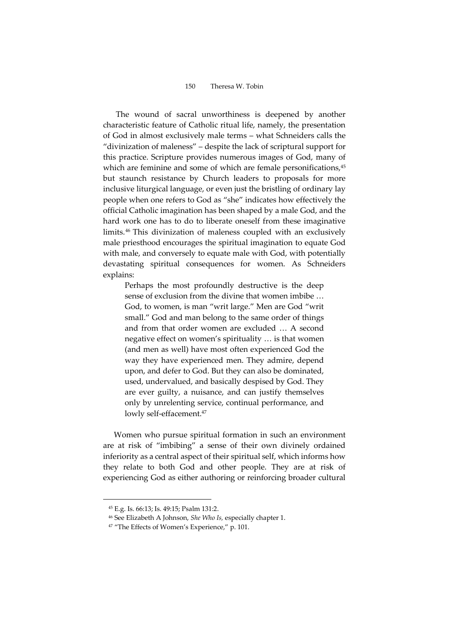The wound of sacral unworthiness is deepened by another characteristic feature of Catholic ritual life, namely, the presentation of God in almost exclusively male terms – what Schneiders calls the "divinization of maleness" – despite the lack of scriptural support for this practice. Scripture provides numerous images of God, many of which are feminine and some of which are female personifications,<sup>45</sup> but staunch resistance by Church leaders to proposals for more inclusive liturgical language, or even just the bristling of ordinary lay people when one refers to God as "she" indicates how effectively the official Catholic imagination has been shaped by a male God, and the hard work one has to do to liberate oneself from these imaginative limits.<sup>46</sup> This divinization of maleness coupled with an exclusively male priesthood encourages the spiritual imagination to equate God with male, and conversely to equate male with God, with potentially devastating spiritual consequences for women. As Schneiders explains:

Perhaps the most profoundly destructive is the deep sense of exclusion from the divine that women imbibe … God, to women, is man "writ large." Men are God "writ small." God and man belong to the same order of things and from that order women are excluded … A second negative effect on women's spirituality … is that women (and men as well) have most often experienced God the way they have experienced men. They admire, depend upon, and defer to God. But they can also be dominated, used, undervalued, and basically despised by God. They are ever guilty, a nuisance, and can justify themselves only by unrelenting service, continual performance, and lowly self-effacement.<sup>47</sup>

Women who pursue spiritual formation in such an environment are at risk of "imbibing" a sense of their own divinely ordained inferiority as a central aspect of their spiritual self, which informs how they relate to both God and other people. They are at risk of experiencing God as either authoring or reinforcing broader cultural

<sup>45</sup> E.g. Is. 66:13; Is. 49:15; Psalm 131:2.

<sup>46</sup> See Elizabeth A Johnson, *She Who Is,* especially chapter 1.

<sup>47</sup> "The Effects of Women's Experience," p. 101.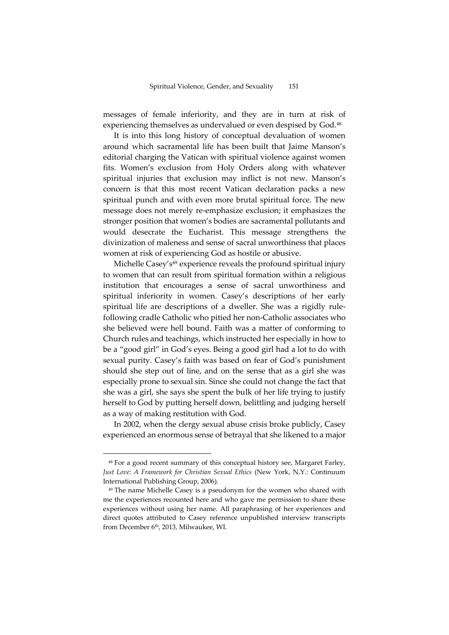messages of female inferiority, and they are in turn at risk of experiencing themselves as undervalued or even despised by God.<sup>48</sup>

It is into this long history of conceptual devaluation of women around which sacramental life has been built that Jaime Manson's editorial charging the Vatican with spiritual violence against women fits. Women's exclusion from Holy Orders along with whatever spiritual injuries that exclusion may inflict is not new. Manson's concern is that this most recent Vatican declaration packs a new spiritual punch and with even more brutal spiritual force. The new message does not merely re-emphasize exclusion; it emphasizes the stronger position that women's bodies are sacramental pollutants and would desecrate the Eucharist. This message strengthens the divinization of maleness and sense of sacral unworthiness that places women at risk of experiencing God as hostile or abusive.

Michelle Casey's<sup>49</sup> experience reveals the profound spiritual injury to women that can result from spiritual formation within a religious institution that encourages a sense of sacral unworthiness and spiritual inferiority in women. Casey's descriptions of her early spiritual life are descriptions of a dweller. She was a rigidly rulefollowing cradle Catholic who pitied her non-Catholic associates who she believed were hell bound. Faith was a matter of conforming to Church rules and teachings, which instructed her especially in how to be a "good girl" in God's eyes. Being a good girl had a lot to do with sexual purity. Casey's faith was based on fear of God's punishment should she step out of line, and on the sense that as a girl she was especially prone to sexual sin. Since she could not change the fact that she was a girl, she says she spent the bulk of her life trying to justify herself to God by putting herself down, belittling and judging herself as a way of making restitution with God.

In 2002, when the clergy sexual abuse crisis broke publicly, Casey experienced an enormous sense of betrayal that she likened to a major

<sup>48</sup> For a good recent summary of this conceptual history see, Margaret Farley, *Just Love: A Framework for Christian Sexual Ethics* (New York, N.Y.: Continuum International Publishing Group, 2006).

<sup>&</sup>lt;sup>49</sup> The name Michelle Casey is a pseudonym for the women who shared with me the experiences recounted here and who gave me permission to share these experiences without using her name. All paraphrasing of her experiences and direct quotes attributed to Casey reference unpublished interview transcripts from December 6th, 2013, Milwaukee, WI.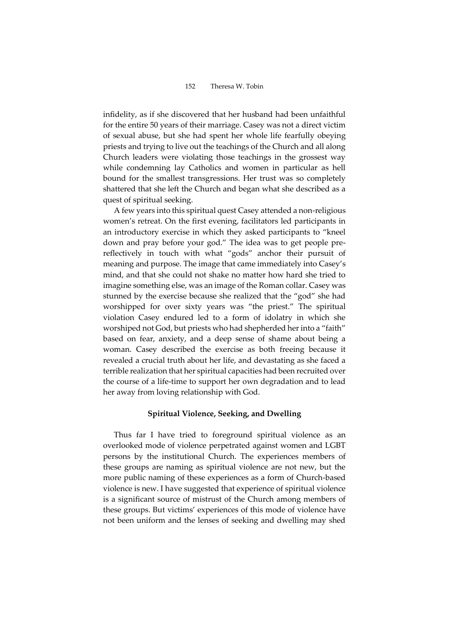infidelity, as if she discovered that her husband had been unfaithful for the entire 50 years of their marriage. Casey was not a direct victim of sexual abuse, but she had spent her whole life fearfully obeying priests and trying to live out the teachings of the Church and all along Church leaders were violating those teachings in the grossest way while condemning lay Catholics and women in particular as hell bound for the smallest transgressions. Her trust was so completely shattered that she left the Church and began what she described as a quest of spiritual seeking.

A few years into this spiritual quest Casey attended a non-religious women's retreat. On the first evening, facilitators led participants in an introductory exercise in which they asked participants to "kneel down and pray before your god." The idea was to get people prereflectively in touch with what "gods" anchor their pursuit of meaning and purpose. The image that came immediately into Casey's mind, and that she could not shake no matter how hard she tried to imagine something else, was an image of the Roman collar. Casey was stunned by the exercise because she realized that the "god" she had worshipped for over sixty years was "the priest." The spiritual violation Casey endured led to a form of idolatry in which she worshiped not God, but priests who had shepherded her into a "faith" based on fear, anxiety, and a deep sense of shame about being a woman. Casey described the exercise as both freeing because it revealed a crucial truth about her life, and devastating as she faced a terrible realization that her spiritual capacities had been recruited over the course of a life-time to support her own degradation and to lead her away from loving relationship with God.

#### **Spiritual Violence, Seeking, and Dwelling**

Thus far I have tried to foreground spiritual violence as an overlooked mode of violence perpetrated against women and LGBT persons by the institutional Church. The experiences members of these groups are naming as spiritual violence are not new, but the more public naming of these experiences as a form of Church-based violence is new. I have suggested that experience of spiritual violence is a significant source of mistrust of the Church among members of these groups. But victims' experiences of this mode of violence have not been uniform and the lenses of seeking and dwelling may shed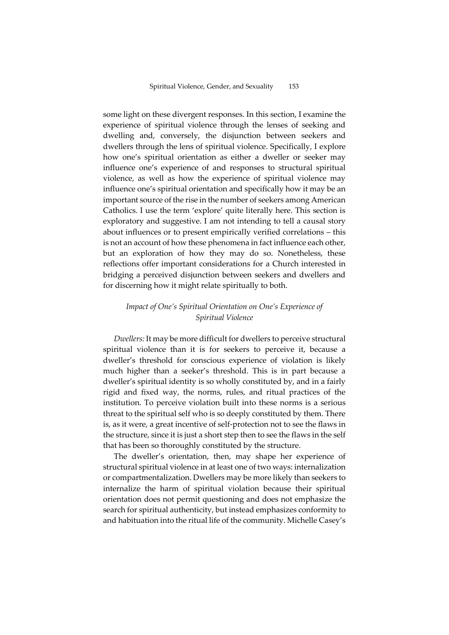some light on these divergent responses. In this section, I examine the experience of spiritual violence through the lenses of seeking and dwelling and, conversely, the disjunction between seekers and dwellers through the lens of spiritual violence. Specifically, I explore how one's spiritual orientation as either a dweller or seeker may influence one's experience of and responses to structural spiritual violence, as well as how the experience of spiritual violence may influence one's spiritual orientation and specifically how it may be an important source of the rise in the number of seekers among American Catholics. I use the term 'explore' quite literally here. This section is exploratory and suggestive. I am not intending to tell a causal story about influences or to present empirically verified correlations – this is not an account of how these phenomena in fact influence each other, but an exploration of how they may do so. Nonetheless, these reflections offer important considerations for a Church interested in bridging a perceived disjunction between seekers and dwellers and for discerning how it might relate spiritually to both.

### *Impact of One's Spiritual Orientation on One's Experience of Spiritual Violence*

*Dwellers:* It may be more difficult for dwellers to perceive structural spiritual violence than it is for seekers to perceive it, because a dweller's threshold for conscious experience of violation is likely much higher than a seeker's threshold. This is in part because a dweller's spiritual identity is so wholly constituted by, and in a fairly rigid and fixed way, the norms, rules, and ritual practices of the institution. To perceive violation built into these norms is a serious threat to the spiritual self who is so deeply constituted by them. There is, as it were, a great incentive of self-protection not to see the flaws in the structure, since it is just a short step then to see the flaws in the self that has been so thoroughly constituted by the structure.

The dweller's orientation, then, may shape her experience of structural spiritual violence in at least one of two ways: internalization or compartmentalization. Dwellers may be more likely than seekers to internalize the harm of spiritual violation because their spiritual orientation does not permit questioning and does not emphasize the search for spiritual authenticity, but instead emphasizes conformity to and habituation into the ritual life of the community. Michelle Casey's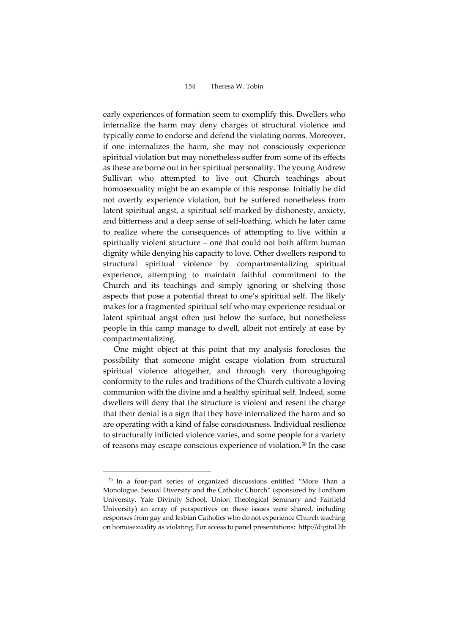early experiences of formation seem to exemplify this. Dwellers who internalize the harm may deny charges of structural violence and typically come to endorse and defend the violating norms. Moreover, if one internalizes the harm, she may not consciously experience spiritual violation but may nonetheless suffer from some of its effects as these are borne out in her spiritual personality. The young Andrew Sullivan who attempted to live out Church teachings about homosexuality might be an example of this response. Initially he did not overtly experience violation, but he suffered nonetheless from latent spiritual angst, a spiritual self-marked by dishonesty, anxiety, and bitterness and a deep sense of self-loathing, which he later came to realize where the consequences of attempting to live within a spiritually violent structure – one that could not both affirm human dignity while denying his capacity to love. Other dwellers respond to structural spiritual violence by compartmentalizing spiritual experience, attempting to maintain faithful commitment to the Church and its teachings and simply ignoring or shelving those aspects that pose a potential threat to one's spiritual self. The likely makes for a fragmented spiritual self who may experience residual or latent spiritual angst often just below the surface, but nonetheless people in this camp manage to dwell, albeit not entirely at ease by compartmentalizing.

One might object at this point that my analysis forecloses the possibility that someone might escape violation from structural spiritual violence altogether, and through very thoroughgoing conformity to the rules and traditions of the Church cultivate a loving communion with the divine and a healthy spiritual self. Indeed, some dwellers will deny that the structure is violent and resent the charge that their denial is a sign that they have internalized the harm and so are operating with a kind of false consciousness. Individual resilience to structurally inflicted violence varies, and some people for a variety of reasons may escape conscious experience of violation.<sup>50</sup> In the case

<sup>50</sup> In a four-part series of organized discussions entitled "More Than a Monologue. Sexual Diversity and the Catholic Church" (sponsored by Fordham University, Yale Divinity School, Union Theological Seminary and Fairfield University) an array of perspectives on these issues were shared, including responses from gay and lesbian Catholics who do not experience Church teaching on homosexuality as violating. For access to panel presentations: http://digital.lib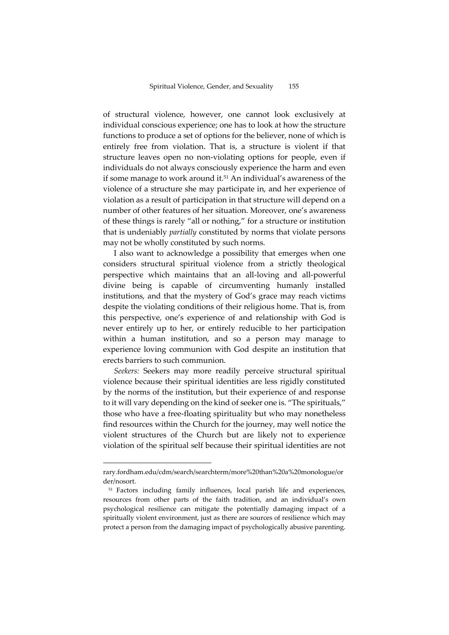of structural violence, however, one cannot look exclusively at individual conscious experience; one has to look at how the structure functions to produce a set of options for the believer, none of which is entirely free from violation. That is, a structure is violent if that structure leaves open no non-violating options for people, even if individuals do not always consciously experience the harm and even if some manage to work around it.<sup>51</sup> An individual's awareness of the violence of a structure she may participate in, and her experience of violation as a result of participation in that structure will depend on a number of other features of her situation. Moreover, one's awareness of these things is rarely "all or nothing," for a structure or institution that is undeniably *partially* constituted by norms that violate persons may not be wholly constituted by such norms.

I also want to acknowledge a possibility that emerges when one considers structural spiritual violence from a strictly theological perspective which maintains that an all-loving and all-powerful divine being is capable of circumventing humanly installed institutions, and that the mystery of God's grace may reach victims despite the violating conditions of their religious home. That is, from this perspective, one's experience of and relationship with God is never entirely up to her, or entirely reducible to her participation within a human institution, and so a person may manage to experience loving communion with God despite an institution that erects barriers to such communion.

*Seekers:* Seekers may more readily perceive structural spiritual violence because their spiritual identities are less rigidly constituted by the norms of the institution, but their experience of and response to it will vary depending on the kind of seeker one is. "The spirituals," those who have a free-floating spirituality but who may nonetheless find resources within the Church for the journey, may well notice the violent structures of the Church but are likely not to experience violation of the spiritual self because their spiritual identities are not

rary.fordham.edu/cdm/search/searchterm/more%20than%20a%20monologue/or der/nosort.

<sup>&</sup>lt;sup>51</sup> Factors including family influences, local parish life and experiences, resources from other parts of the faith tradition, and an individual's own psychological resilience can mitigate the potentially damaging impact of a spiritually violent environment, just as there are sources of resilience which may protect a person from the damaging impact of psychologically abusive parenting.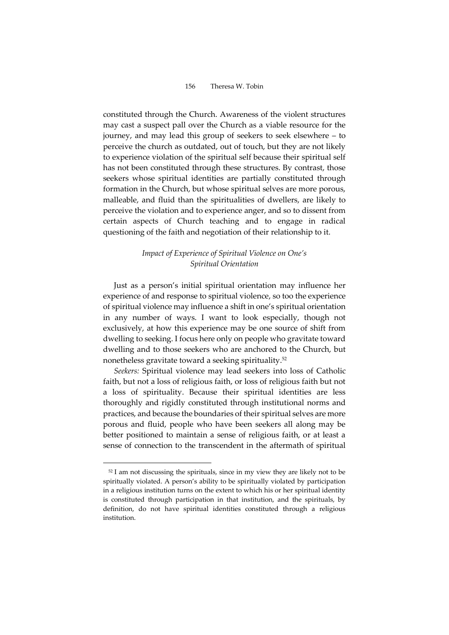constituted through the Church. Awareness of the violent structures may cast a suspect pall over the Church as a viable resource for the journey, and may lead this group of seekers to seek elsewhere – to perceive the church as outdated, out of touch, but they are not likely to experience violation of the spiritual self because their spiritual self has not been constituted through these structures. By contrast, those seekers whose spiritual identities are partially constituted through formation in the Church, but whose spiritual selves are more porous, malleable, and fluid than the spiritualities of dwellers, are likely to perceive the violation and to experience anger, and so to dissent from certain aspects of Church teaching and to engage in radical questioning of the faith and negotiation of their relationship to it.

# *Impact of Experience of Spiritual Violence on One's Spiritual Orientation*

Just as a person's initial spiritual orientation may influence her experience of and response to spiritual violence, so too the experience of spiritual violence may influence a shift in one's spiritual orientation in any number of ways. I want to look especially, though not exclusively, at how this experience may be one source of shift from dwelling to seeking. I focus here only on people who gravitate toward dwelling and to those seekers who are anchored to the Church, but nonetheless gravitate toward a seeking spirituality. 52

*Seekers:* Spiritual violence may lead seekers into loss of Catholic faith, but not a loss of religious faith, or loss of religious faith but not a loss of spirituality. Because their spiritual identities are less thoroughly and rigidly constituted through institutional norms and practices, and because the boundaries of their spiritual selves are more porous and fluid, people who have been seekers all along may be better positioned to maintain a sense of religious faith, or at least a sense of connection to the transcendent in the aftermath of spiritual

<sup>52</sup> I am not discussing the spirituals, since in my view they are likely not to be spiritually violated. A person's ability to be spiritually violated by participation in a religious institution turns on the extent to which his or her spiritual identity is constituted through participation in that institution, and the spirituals, by definition, do not have spiritual identities constituted through a religious institution.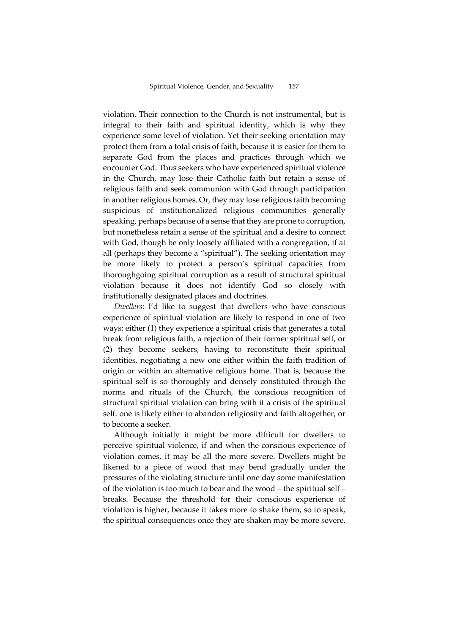violation. Their connection to the Church is not instrumental, but is integral to their faith and spiritual identity, which is why they experience some level of violation. Yet their seeking orientation may protect them from a total crisis of faith, because it is easier for them to separate God from the places and practices through which we encounter God. Thus seekers who have experienced spiritual violence in the Church, may lose their Catholic faith but retain a sense of religious faith and seek communion with God through participation in another religious homes. Or, they may lose religious faith becoming suspicious of institutionalized religious communities generally speaking, perhaps because of a sense that they are prone to corruption, but nonetheless retain a sense of the spiritual and a desire to connect with God, though be only loosely affiliated with a congregation, if at all (perhaps they become a "spiritual"). The seeking orientation may be more likely to protect a person's spiritual capacities from thoroughgoing spiritual corruption as a result of structural spiritual violation because it does not identify God so closely with institutionally designated places and doctrines.

*Dwellers:* I'd like to suggest that dwellers who have conscious experience of spiritual violation are likely to respond in one of two ways: either (1) they experience a spiritual crisis that generates a total break from religious faith, a rejection of their former spiritual self, or (2) they become seekers, having to reconstitute their spiritual identities, negotiating a new one either within the faith tradition of origin or within an alternative religious home. That is, because the spiritual self is so thoroughly and densely constituted through the norms and rituals of the Church, the conscious recognition of structural spiritual violation can bring with it a crisis of the spiritual self: one is likely either to abandon religiosity and faith altogether, or to become a seeker.

Although initially it might be more difficult for dwellers to perceive spiritual violence, if and when the conscious experience of violation comes, it may be all the more severe. Dwellers might be likened to a piece of wood that may bend gradually under the pressures of the violating structure until one day some manifestation of the violation is too much to bear and the wood – the spiritual self – breaks. Because the threshold for their conscious experience of violation is higher, because it takes more to shake them, so to speak, the spiritual consequences once they are shaken may be more severe.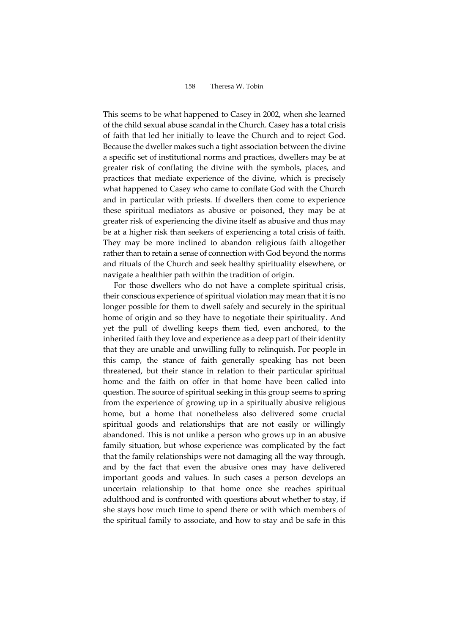This seems to be what happened to Casey in 2002, when she learned of the child sexual abuse scandal in the Church. Casey has a total crisis of faith that led her initially to leave the Church and to reject God. Because the dweller makes such a tight association between the divine a specific set of institutional norms and practices, dwellers may be at greater risk of conflating the divine with the symbols, places, and practices that mediate experience of the divine, which is precisely what happened to Casey who came to conflate God with the Church and in particular with priests. If dwellers then come to experience these spiritual mediators as abusive or poisoned, they may be at greater risk of experiencing the divine itself as abusive and thus may be at a higher risk than seekers of experiencing a total crisis of faith. They may be more inclined to abandon religious faith altogether rather than to retain a sense of connection with God beyond the norms and rituals of the Church and seek healthy spirituality elsewhere, or navigate a healthier path within the tradition of origin.

For those dwellers who do not have a complete spiritual crisis, their conscious experience of spiritual violation may mean that it is no longer possible for them to dwell safely and securely in the spiritual home of origin and so they have to negotiate their spirituality. And yet the pull of dwelling keeps them tied, even anchored, to the inherited faith they love and experience as a deep part of their identity that they are unable and unwilling fully to relinquish. For people in this camp, the stance of faith generally speaking has not been threatened, but their stance in relation to their particular spiritual home and the faith on offer in that home have been called into question. The source of spiritual seeking in this group seems to spring from the experience of growing up in a spiritually abusive religious home, but a home that nonetheless also delivered some crucial spiritual goods and relationships that are not easily or willingly abandoned. This is not unlike a person who grows up in an abusive family situation, but whose experience was complicated by the fact that the family relationships were not damaging all the way through, and by the fact that even the abusive ones may have delivered important goods and values. In such cases a person develops an uncertain relationship to that home once she reaches spiritual adulthood and is confronted with questions about whether to stay, if she stays how much time to spend there or with which members of the spiritual family to associate, and how to stay and be safe in this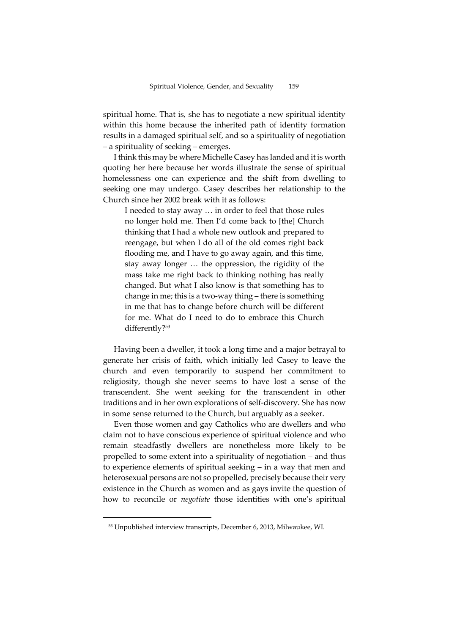spiritual home. That is, she has to negotiate a new spiritual identity within this home because the inherited path of identity formation results in a damaged spiritual self, and so a spirituality of negotiation – a spirituality of seeking – emerges.

I think this may be where Michelle Casey has landed and it is worth quoting her here because her words illustrate the sense of spiritual homelessness one can experience and the shift from dwelling to seeking one may undergo. Casey describes her relationship to the Church since her 2002 break with it as follows:

I needed to stay away … in order to feel that those rules no longer hold me. Then I'd come back to [the] Church thinking that I had a whole new outlook and prepared to reengage, but when I do all of the old comes right back flooding me, and I have to go away again, and this time, stay away longer … the oppression, the rigidity of the mass take me right back to thinking nothing has really changed. But what I also know is that something has to change in me; this is a two-way thing – there is something in me that has to change before church will be different for me. What do I need to do to embrace this Church differently?<sup>53</sup>

Having been a dweller, it took a long time and a major betrayal to generate her crisis of faith, which initially led Casey to leave the church and even temporarily to suspend her commitment to religiosity, though she never seems to have lost a sense of the transcendent. She went seeking for the transcendent in other traditions and in her own explorations of self-discovery. She has now in some sense returned to the Church, but arguably as a seeker.

Even those women and gay Catholics who are dwellers and who claim not to have conscious experience of spiritual violence and who remain steadfastly dwellers are nonetheless more likely to be propelled to some extent into a spirituality of negotiation – and thus to experience elements of spiritual seeking – in a way that men and heterosexual persons are not so propelled, precisely because their very existence in the Church as women and as gays invite the question of how to reconcile or *negotiate* those identities with one's spiritual

<sup>53</sup> Unpublished interview transcripts, December 6, 2013, Milwaukee, WI.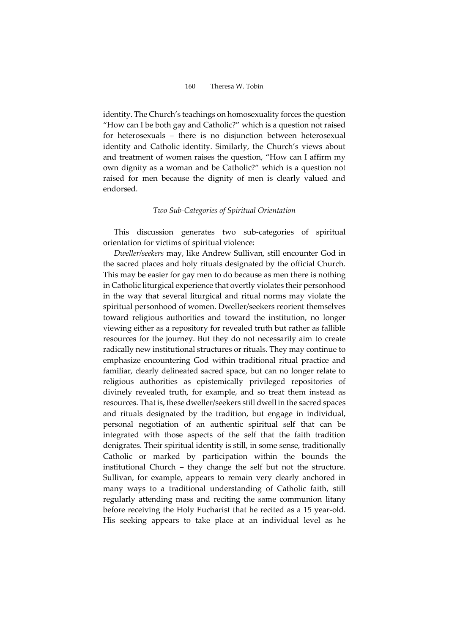identity. The Church's teachings on homosexuality forces the question "How can I be both gay and Catholic?" which is a question not raised for heterosexuals – there is no disjunction between heterosexual identity and Catholic identity. Similarly, the Church's views about and treatment of women raises the question, "How can I affirm my own dignity as a woman and be Catholic?" which is a question not raised for men because the dignity of men is clearly valued and endorsed.

#### *Two Sub-Categories of Spiritual Orientation*

This discussion generates two sub-categories of spiritual orientation for victims of spiritual violence:

*Dweller/seekers* may, like Andrew Sullivan, still encounter God in the sacred places and holy rituals designated by the official Church. This may be easier for gay men to do because as men there is nothing in Catholic liturgical experience that overtly violates their personhood in the way that several liturgical and ritual norms may violate the spiritual personhood of women. Dweller/seekers reorient themselves toward religious authorities and toward the institution, no longer viewing either as a repository for revealed truth but rather as fallible resources for the journey. But they do not necessarily aim to create radically new institutional structures or rituals. They may continue to emphasize encountering God within traditional ritual practice and familiar, clearly delineated sacred space, but can no longer relate to religious authorities as epistemically privileged repositories of divinely revealed truth, for example, and so treat them instead as resources. That is, these dweller/seekers still dwell in the sacred spaces and rituals designated by the tradition, but engage in individual, personal negotiation of an authentic spiritual self that can be integrated with those aspects of the self that the faith tradition denigrates. Their spiritual identity is still, in some sense, traditionally Catholic or marked by participation within the bounds the institutional Church – they change the self but not the structure. Sullivan, for example, appears to remain very clearly anchored in many ways to a traditional understanding of Catholic faith, still regularly attending mass and reciting the same communion litany before receiving the Holy Eucharist that he recited as a 15 year-old. His seeking appears to take place at an individual level as he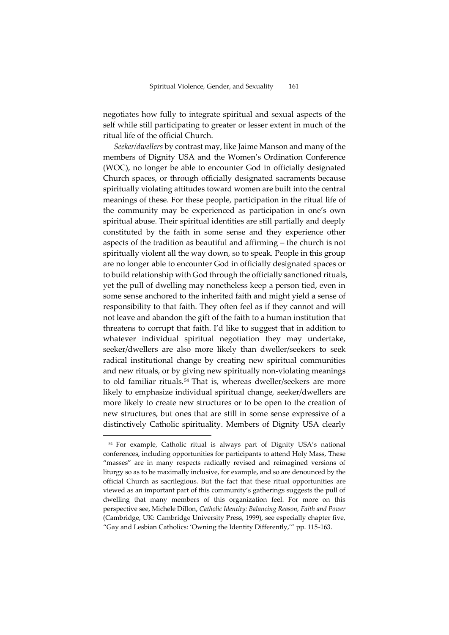negotiates how fully to integrate spiritual and sexual aspects of the self while still participating to greater or lesser extent in much of the ritual life of the official Church.

*Seeker/dwellers* by contrast may, like Jaime Manson and many of the members of Dignity USA and the Women's Ordination Conference (WOC), no longer be able to encounter God in officially designated Church spaces, or through officially designated sacraments because spiritually violating attitudes toward women are built into the central meanings of these. For these people, participation in the ritual life of the community may be experienced as participation in one's own spiritual abuse. Their spiritual identities are still partially and deeply constituted by the faith in some sense and they experience other aspects of the tradition as beautiful and affirming – the church is not spiritually violent all the way down, so to speak. People in this group are no longer able to encounter God in officially designated spaces or to build relationship with God through the officially sanctioned rituals, yet the pull of dwelling may nonetheless keep a person tied, even in some sense anchored to the inherited faith and might yield a sense of responsibility to that faith. They often feel as if they cannot and will not leave and abandon the gift of the faith to a human institution that threatens to corrupt that faith. I'd like to suggest that in addition to whatever individual spiritual negotiation they may undertake, seeker/dwellers are also more likely than dweller/seekers to seek radical institutional change by creating new spiritual communities and new rituals, or by giving new spiritually non-violating meanings to old familiar rituals.<sup>54</sup> That is, whereas dweller/seekers are more likely to emphasize individual spiritual change, seeker/dwellers are more likely to create new structures or to be open to the creation of new structures, but ones that are still in some sense expressive of a distinctively Catholic spirituality. Members of Dignity USA clearly

<sup>54</sup> For example, Catholic ritual is always part of Dignity USA's national conferences, including opportunities for participants to attend Holy Mass, These "masses" are in many respects radically revised and reimagined versions of liturgy so as to be maximally inclusive, for example, and so are denounced by the official Church as sacrilegious. But the fact that these ritual opportunities are viewed as an important part of this community's gatherings suggests the pull of dwelling that many members of this organization feel. For more on this perspective see, Michele Dillon, *Catholic Identity: Balancing Reason, Faith and Power* (Cambridge, UK: Cambridge University Press, 1999), see especially chapter five, "Gay and Lesbian Catholics: 'Owning the Identity Differently,'" pp. 115-163.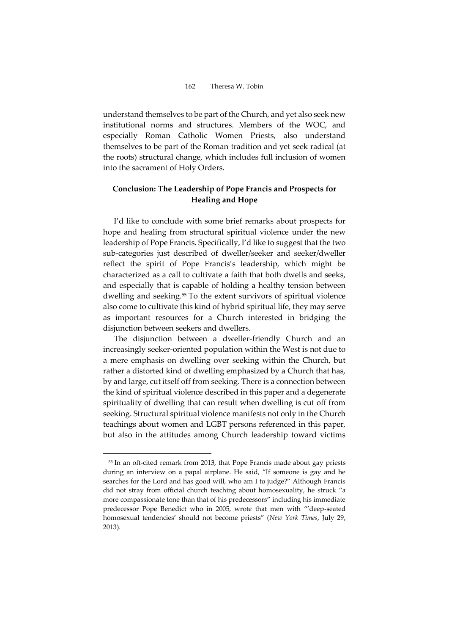understand themselves to be part of the Church, and yet also seek new institutional norms and structures. Members of the WOC, and especially Roman Catholic Women Priests, also understand themselves to be part of the Roman tradition and yet seek radical (at the roots) structural change, which includes full inclusion of women into the sacrament of Holy Orders.

# **Conclusion: The Leadership of Pope Francis and Prospects for Healing and Hope**

I'd like to conclude with some brief remarks about prospects for hope and healing from structural spiritual violence under the new leadership of Pope Francis. Specifically, I'd like to suggest that the two sub-categories just described of dweller/seeker and seeker/dweller reflect the spirit of Pope Francis's leadership, which might be characterized as a call to cultivate a faith that both dwells and seeks, and especially that is capable of holding a healthy tension between dwelling and seeking.<sup>55</sup> To the extent survivors of spiritual violence also come to cultivate this kind of hybrid spiritual life, they may serve as important resources for a Church interested in bridging the disjunction between seekers and dwellers.

The disjunction between a dweller-friendly Church and an increasingly seeker-oriented population within the West is not due to a mere emphasis on dwelling over seeking within the Church, but rather a distorted kind of dwelling emphasized by a Church that has, by and large, cut itself off from seeking. There is a connection between the kind of spiritual violence described in this paper and a degenerate spirituality of dwelling that can result when dwelling is cut off from seeking. Structural spiritual violence manifests not only in the Church teachings about women and LGBT persons referenced in this paper, but also in the attitudes among Church leadership toward victims

<sup>55</sup> In an oft-cited remark from 2013, that Pope Francis made about gay priests during an interview on a papal airplane. He said, "If someone is gay and he searches for the Lord and has good will, who am I to judge?" Although Francis did not stray from official church teaching about homosexuality, he struck "a more compassionate tone than that of his predecessors" including his immediate predecessor Pope Benedict who in 2005, wrote that men with "'deep-seated homosexual tendencies' should not become priests" (*New York Times*, July 29, 2013).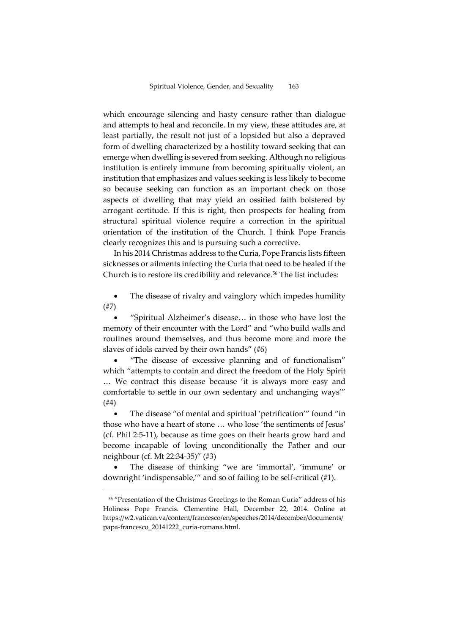which encourage silencing and hasty censure rather than dialogue and attempts to heal and reconcile. In my view, these attitudes are, at least partially, the result not just of a lopsided but also a depraved form of dwelling characterized by a hostility toward seeking that can emerge when dwelling is severed from seeking. Although no religious institution is entirely immune from becoming spiritually violent, an institution that emphasizes and values seeking is less likely to become so because seeking can function as an important check on those aspects of dwelling that may yield an ossified faith bolstered by arrogant certitude. If this is right, then prospects for healing from structural spiritual violence require a correction in the spiritual orientation of the institution of the Church. I think Pope Francis clearly recognizes this and is pursuing such a corrective.

In his 2014 Christmas address to the Curia, Pope Francis lists fifteen sicknesses or ailments infecting the Curia that need to be healed if the Church is to restore its credibility and relevance.<sup>56</sup> The list includes:

 The disease of rivalry and vainglory which impedes humility (#7)

 "Spiritual Alzheimer's disease… in those who have lost the memory of their encounter with the Lord" and "who build walls and routines around themselves, and thus become more and more the slaves of idols carved by their own hands" (#6)

 "The disease of excessive planning and of functionalism" which "attempts to contain and direct the freedom of the Holy Spirit … We contract this disease because 'it is always more easy and comfortable to settle in our own sedentary and unchanging ways'" (#4)

 The disease "of mental and spiritual 'petrification'" found "in those who have a heart of stone … who lose 'the sentiments of Jesus' (cf. Phil 2:5-11), because as time goes on their hearts grow hard and become incapable of loving unconditionally the Father and our neighbour (cf. Mt 22:34-35)" (#3)

 The disease of thinking "we are 'immortal', 'immune' or downright 'indispensable,'" and so of failing to be self-critical (#1).

<sup>56</sup> "Presentation of the Christmas Greetings to the Roman Curia" address of his Holiness Pope Francis. Clementine Hall, December 22, 2014. Online at https://w2.vatican.va/content/francesco/en/speeches/2014/december/documents/ papa-francesco\_20141222\_curia-romana.html.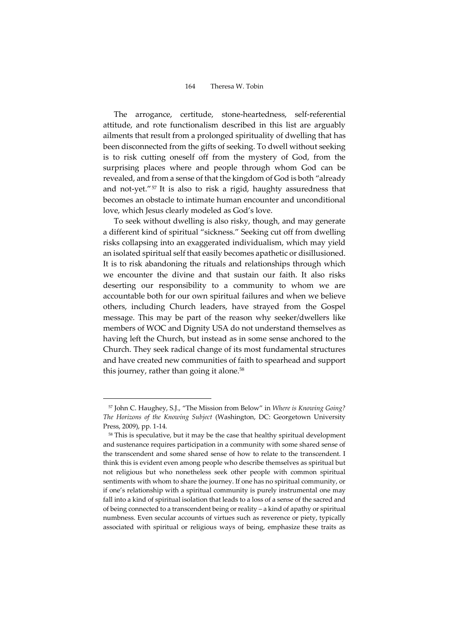The arrogance, certitude, stone-heartedness, self-referential attitude, and rote functionalism described in this list are arguably ailments that result from a prolonged spirituality of dwelling that has been disconnected from the gifts of seeking. To dwell without seeking is to risk cutting oneself off from the mystery of God, from the surprising places where and people through whom God can be revealed, and from a sense of that the kingdom of God is both "already and not-yet."<sup>57</sup> It is also to risk a rigid, haughty assuredness that becomes an obstacle to intimate human encounter and unconditional love, which Jesus clearly modeled as God's love.

To seek without dwelling is also risky, though, and may generate a different kind of spiritual "sickness." Seeking cut off from dwelling risks collapsing into an exaggerated individualism, which may yield an isolated spiritual self that easily becomes apathetic or disillusioned. It is to risk abandoning the rituals and relationships through which we encounter the divine and that sustain our faith. It also risks deserting our responsibility to a community to whom we are accountable both for our own spiritual failures and when we believe others, including Church leaders, have strayed from the Gospel message. This may be part of the reason why seeker/dwellers like members of WOC and Dignity USA do not understand themselves as having left the Church, but instead as in some sense anchored to the Church. They seek radical change of its most fundamental structures and have created new communities of faith to spearhead and support this journey, rather than going it alone.<sup>58</sup>

<sup>57</sup> John C. Haughey, S.J., "The Mission from Below" in *Where is Knowing Going? The Horizons of the Knowing Subject* (Washington, DC: Georgetown University Press, 2009), pp. 1-14.

<sup>58</sup> This is speculative, but it may be the case that healthy spiritual development and sustenance requires participation in a community with some shared sense of the transcendent and some shared sense of how to relate to the transcendent. I think this is evident even among people who describe themselves as spiritual but not religious but who nonetheless seek other people with common spiritual sentiments with whom to share the journey. If one has no spiritual community, or if one's relationship with a spiritual community is purely instrumental one may fall into a kind of spiritual isolation that leads to a loss of a sense of the sacred and of being connected to a transcendent being or reality – a kind of apathy or spiritual numbness. Even secular accounts of virtues such as reverence or piety, typically associated with spiritual or religious ways of being, emphasize these traits as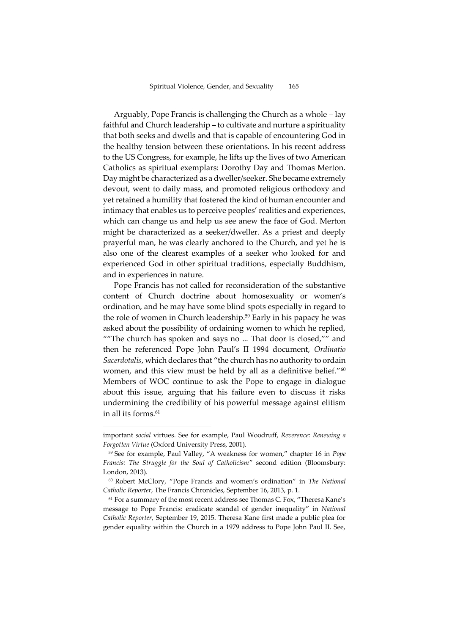Arguably, Pope Francis is challenging the Church as a whole – lay faithful and Church leadership – to cultivate and nurture a spirituality that both seeks and dwells and that is capable of encountering God in the healthy tension between these orientations. In his recent address to the US Congress, for example, he lifts up the lives of two American Catholics as spiritual exemplars: Dorothy Day and Thomas Merton. Day might be characterized as a dweller/seeker. She became extremely devout, went to daily mass, and promoted religious orthodoxy and yet retained a humility that fostered the kind of human encounter and intimacy that enables us to perceive peoples' realities and experiences, which can change us and help us see anew the face of God. Merton might be characterized as a seeker/dweller. As a priest and deeply prayerful man, he was clearly anchored to the Church, and yet he is also one of the clearest examples of a seeker who looked for and experienced God in other spiritual traditions, especially Buddhism, and in experiences in nature.

Pope Francis has not called for reconsideration of the substantive content of Church doctrine about homosexuality or women's ordination, and he may have some blind spots especially in regard to the role of women in Church leadership.<sup>59</sup> Early in his papacy he was asked about the possibility of ordaining women to which he replied, ""The church has spoken and says no ... That door is closed,"" and then he referenced Pope John Paul's II 1994 document, *Ordinatio Sacerdotalis*, which declares that "the church has no authority to ordain women, and this view must be held by all as a definitive belief." $^\mathrm{60}$ Members of WOC continue to ask the Pope to engage in dialogue about this issue, arguing that his failure even to discuss it risks undermining the credibility of his powerful message against elitism in all its forms.<sup>61</sup>

important *social* virtues. See for example, Paul Woodruff, *Reverence: Renewing a Forgotten Virtue* (Oxford University Press, 2001).

<sup>59</sup> See for example, Paul Valley, "A weakness for women," chapter 16 in *Pope Francis: The Struggle for the Soul of Catholicism"* second edition (Bloomsbury: London, 2013).

<sup>60</sup> Robert McClory, "Pope Francis and women's ordination" in *The National Catholic Reporter*, The Francis Chronicles, September 16, 2013, p. 1.

<sup>61</sup> For a summary of the most recent address see Thomas C. Fox, "Theresa Kane's message to Pope Francis: eradicate scandal of gender inequality" in *National Catholic Reporter*, September 19, 2015. Theresa Kane first made a public plea for gender equality within the Church in a 1979 address to Pope John Paul II. See,